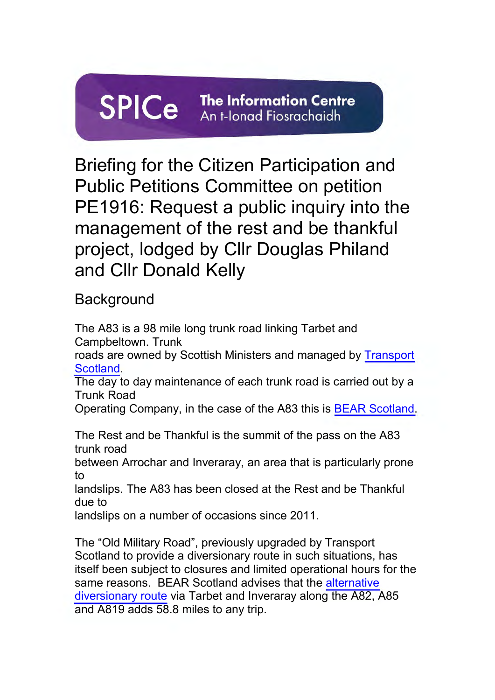# **SPICe The Information Centre**  An t-lonad Fiosrachaidh

Briefing for the Citizen Participation and Public Petitions Committee on petition PE1916: Request a public inquiry into the management of the rest and be thankful project, lodged by Cllr Douglas Philand and Cllr Donald Kelly

**Background** 

The A83 is a 98 mile long trunk road linking Tarbet and Campbeltown. Trunk roads are owned by Scottish Ministers and managed by [Transport](https://www.transport.gov.scot/transport-network/roads/the-trunk-road-network/)  [Scotland.](https://www.transport.gov.scot/transport-network/roads/the-trunk-road-network/) The day to day maintenance of each trunk road is carried out by a Trunk Road Operating Company, in the case of the A83 this is [BEAR Scotland.](https://www.bearscot.com/) The Rest and be Thankful is the summit of the pass on the A83 trunk road between Arrochar and Inveraray, an area that is particularly prone to landslips. The A83 has been closed at the Rest and be Thankful due to landslips on a number of occasions since 2011. The "Old Military Road", previously upgraded by Transport Scotland to provide a diversionary route in such situations, has itself been subject to closures and limited operational hours for the same reasons. BEAR Scotland advises that the alternative [diversionary route](https://www.bearscot.com/a83-rest-and-be-thankful/) via Tarbet and Inveraray along the A82, A85

and A819 adds 58.8 miles to any trip.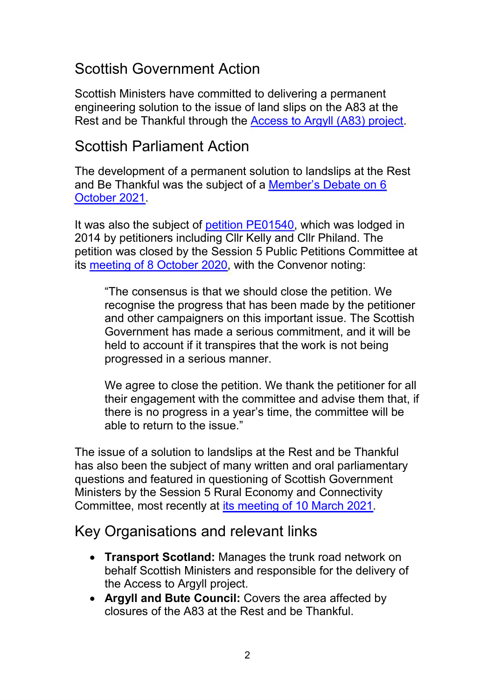## Scottish Government Action

Scottish Ministers have committed to delivering a permanent engineering solution to the issue of land slips on the A83 at the Rest and be Thankful through the [Access to Argyll \(A83\) project.](https://www.transport.gov.scot/projects/a83-access-to-argyll-and-bute/project-details/#overview)

### Scottish Parliament Action

The development of a permanent solution to landslips at the Rest and Be Thankful was the subject of a [Member's Debate on 6](https://archive2021.parliament.scot/parliamentarybusiness/report.aspx?r=13348&mode=pdf)  [October 2021.](https://archive2021.parliament.scot/parliamentarybusiness/report.aspx?r=13348&mode=pdf)

It was also the subject of [petition PE01540,](https://archive2021.parliament.scot/gettinginvolved/Petitions/A83permanentsolution) which was lodged in 2014 by petitioners including Cllr Kelly and Cllr Philand. The petition was closed by the Session 5 Public Petitions Committee at its [meeting of 8 October 2020,](https://archive2021.parliament.scot/parliamentarybusiness/report.aspx?r=12892&mode=pdf) with the Convenor noting:

"The consensus is that we should close the petition. We recognise the progress that has been made by the petitioner and other campaigners on this important issue. The Scottish Government has made a serious commitment, and it will be held to account if it transpires that the work is not being progressed in a serious manner.

We agree to close the petition. We thank the petitioner for all their engagement with the committee and advise them that, if there is no progress in a year's time, the committee will be able to return to the issue."

The issue of a solution to landslips at the Rest and be Thankful has also been the subject of many written and oral parliamentary questions and featured in questioning of Scottish Government Ministers by the Session 5 Rural Economy and Connectivity Committee, most recently at [its meeting of 10 March 2021.](https://archive2021.parliament.scot/parliamentarybusiness/report.aspx?r=13198&mode=pdf)

#### Key Organisations and relevant links

- **Transport Scotland:** Manages the trunk road network on behalf Scottish Ministers and responsible for the delivery of the Access to Argyll project.
- **Argyll and Bute Council:** Covers the area affected by closures of the A83 at the Rest and be Thankful.